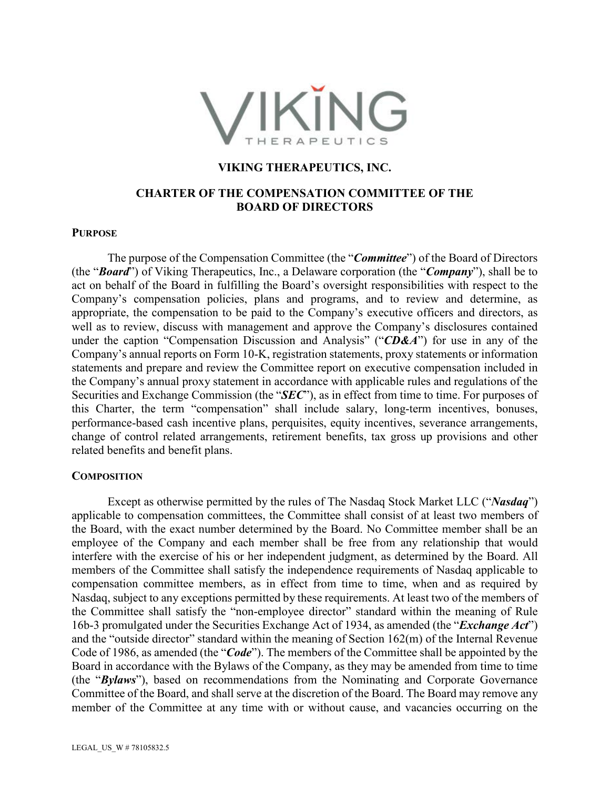

## **VIKING THERAPEUTICS, INC.**

# **CHARTER OF THE COMPENSATION COMMITTEE OF THE BOARD OF DIRECTORS**

#### **PURPOSE**

The purpose of the Compensation Committee (the "*Committee*") of the Board of Directors (the "*Board*") of Viking Therapeutics, Inc., a Delaware corporation (the "*Company*"), shall be to act on behalf of the Board in fulfilling the Board's oversight responsibilities with respect to the Company's compensation policies, plans and programs, and to review and determine, as appropriate, the compensation to be paid to the Company's executive officers and directors, as well as to review, discuss with management and approve the Company's disclosures contained under the caption "Compensation Discussion and Analysis" ("*CD&A*") for use in any of the Company's annual reports on Form 10-K, registration statements, proxy statements or information statements and prepare and review the Committee report on executive compensation included in the Company's annual proxy statement in accordance with applicable rules and regulations of the Securities and Exchange Commission (the "*SEC*"), as in effect from time to time. For purposes of this Charter, the term "compensation" shall include salary, long-term incentives, bonuses, performance-based cash incentive plans, perquisites, equity incentives, severance arrangements, change of control related arrangements, retirement benefits, tax gross up provisions and other related benefits and benefit plans.

## **COMPOSITION**

Except as otherwise permitted by the rules of The Nasdaq Stock Market LLC ("*Nasdaq*") applicable to compensation committees, the Committee shall consist of at least two members of the Board, with the exact number determined by the Board. No Committee member shall be an employee of the Company and each member shall be free from any relationship that would interfere with the exercise of his or her independent judgment, as determined by the Board. All members of the Committee shall satisfy the independence requirements of Nasdaq applicable to compensation committee members, as in effect from time to time, when and as required by Nasdaq, subject to any exceptions permitted by these requirements. At least two of the members of the Committee shall satisfy the "non-employee director" standard within the meaning of Rule 16b-3 promulgated under the Securities Exchange Act of 1934, as amended (the "*Exchange Act*") and the "outside director" standard within the meaning of Section 162(m) of the Internal Revenue Code of 1986, as amended (the "*Code*"). The members of the Committee shall be appointed by the Board in accordance with the Bylaws of the Company, as they may be amended from time to time (the "*Bylaws*"), based on recommendations from the Nominating and Corporate Governance Committee of the Board, and shall serve at the discretion of the Board. The Board may remove any member of the Committee at any time with or without cause, and vacancies occurring on the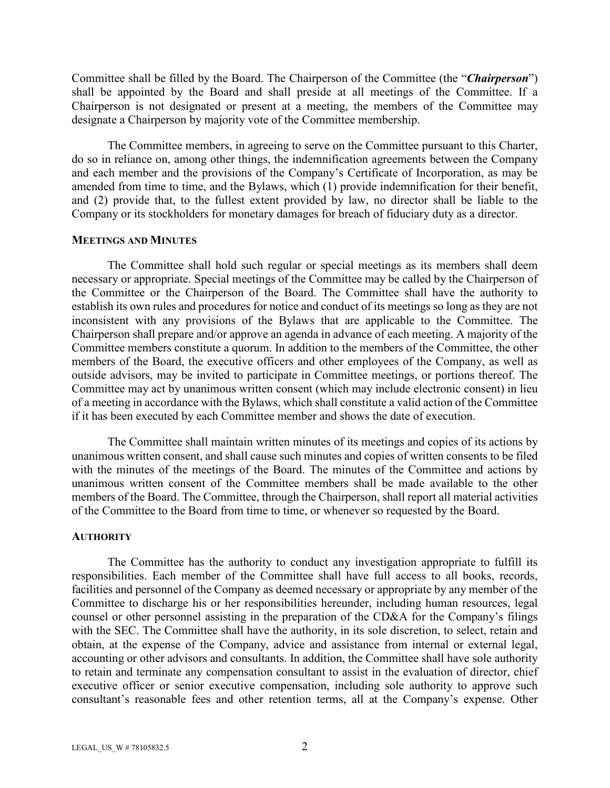Committee shall be filled by the Board. The Chairperson of the Committee (the "*Chairperson*") shall be appointed by the Board and shall preside at all meetings of the Committee. If a Chairperson is not designated or present at a meeting, the members of the Committee may designate a Chairperson by majority vote of the Committee membership.

The Committee members, in agreeing to serve on the Committee pursuant to this Charter, do so in reliance on, among other things, the indemnification agreements between the Company and each member and the provisions of the Company's Certificate of Incorporation, as may be amended from time to time, and the Bylaws, which (1) provide indemnification for their benefit, and (2) provide that, to the fullest extent provided by law, no director shall be liable to the Company or its stockholders for monetary damages for breach of fiduciary duty as a director.

### **MEETINGS AND MINUTES**

The Committee shall hold such regular or special meetings as its members shall deem necessary or appropriate. Special meetings of the Committee may be called by the Chairperson of the Committee or the Chairperson of the Board. The Committee shall have the authority to establish its own rules and procedures for notice and conduct of its meetings so long as they are not inconsistent with any provisions of the Bylaws that are applicable to the Committee. The Chairperson shall prepare and/or approve an agenda in advance of each meeting. A majority of the Committee members constitute a quorum. In addition to the members of the Committee, the other members of the Board, the executive officers and other employees of the Company, as well as outside advisors, may be invited to participate in Committee meetings, or portions thereof. The Committee may act by unanimous written consent (which may include electronic consent) in lieu of a meeting in accordance with the Bylaws, which shall constitute a valid action of the Committee if it has been executed by each Committee member and shows the date of execution.

The Committee shall maintain written minutes of its meetings and copies of its actions by unanimous written consent, and shall cause such minutes and copies of written consents to be filed with the minutes of the meetings of the Board. The minutes of the Committee and actions by unanimous written consent of the Committee members shall be made available to the other members of the Board. The Committee, through the Chairperson, shall report all material activities of the Committee to the Board from time to time, or whenever so requested by the Board.

#### **AUTHORITY**

The Committee has the authority to conduct any investigation appropriate to fulfill its responsibilities. Each member of the Committee shall have full access to all books, records, facilities and personnel of the Company as deemed necessary or appropriate by any member of the Committee to discharge his or her responsibilities hereunder, including human resources, legal counsel or other personnel assisting in the preparation of the CD&A for the Company's filings with the SEC. The Committee shall have the authority, in its sole discretion, to select, retain and obtain, at the expense of the Company, advice and assistance from internal or external legal, accounting or other advisors and consultants. In addition, the Committee shall have sole authority to retain and terminate any compensation consultant to assist in the evaluation of director, chief executive officer or senior executive compensation, including sole authority to approve such consultant's reasonable fees and other retention terms, all at the Company's expense. Other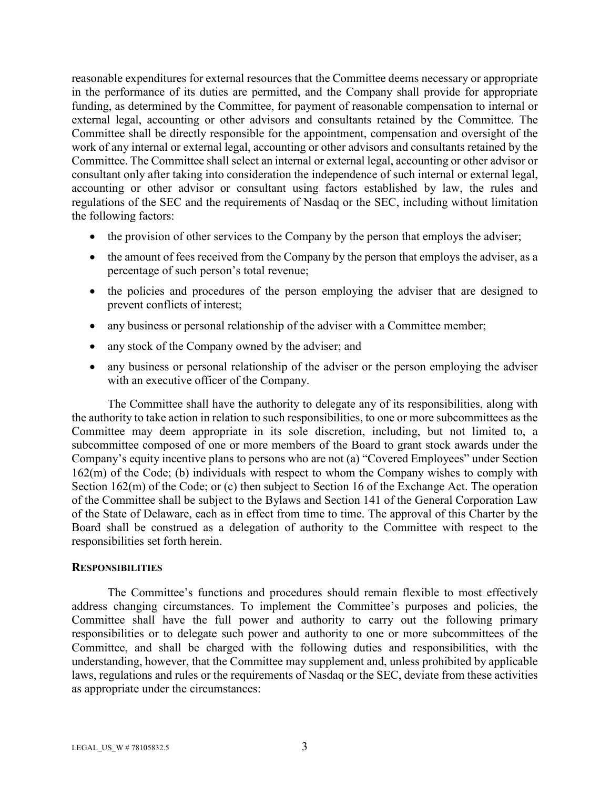reasonable expenditures for external resources that the Committee deems necessary or appropriate in the performance of its duties are permitted, and the Company shall provide for appropriate funding, as determined by the Committee, for payment of reasonable compensation to internal or external legal, accounting or other advisors and consultants retained by the Committee. The Committee shall be directly responsible for the appointment, compensation and oversight of the work of any internal or external legal, accounting or other advisors and consultants retained by the Committee. The Committee shall select an internal or external legal, accounting or other advisor or consultant only after taking into consideration the independence of such internal or external legal, accounting or other advisor or consultant using factors established by law, the rules and regulations of the SEC and the requirements of Nasdaq or the SEC, including without limitation the following factors:

- $\bullet$  the provision of other services to the Company by the person that employs the adviser;
- $\bullet$  the amount of fees received from the Company by the person that employs the adviser, as a percentage of such person's total revenue;
- x the policies and procedures of the person employing the adviser that are designed to prevent conflicts of interest;
- $\bullet$  any business or personal relationship of the adviser with a Committee member;
- any stock of the Company owned by the adviser; and
- any business or personal relationship of the adviser or the person employing the adviser with an executive officer of the Company.

The Committee shall have the authority to delegate any of its responsibilities, along with the authority to take action in relation to such responsibilities, to one or more subcommittees as the Committee may deem appropriate in its sole discretion, including, but not limited to, a subcommittee composed of one or more members of the Board to grant stock awards under the Company's equity incentive plans to persons who are not (a) "Covered Employees" under Section 162(m) of the Code; (b) individuals with respect to whom the Company wishes to comply with Section 162(m) of the Code; or (c) then subject to Section 16 of the Exchange Act. The operation of the Committee shall be subject to the Bylaws and Section 141 of the General Corporation Law of the State of Delaware, each as in effect from time to time. The approval of this Charter by the Board shall be construed as a delegation of authority to the Committee with respect to the responsibilities set forth herein.

## **RESPONSIBILITIES**

The Committee's functions and procedures should remain flexible to most effectively address changing circumstances. To implement the Committee's purposes and policies, the Committee shall have the full power and authority to carry out the following primary responsibilities or to delegate such power and authority to one or more subcommittees of the Committee, and shall be charged with the following duties and responsibilities, with the understanding, however, that the Committee may supplement and, unless prohibited by applicable laws, regulations and rules or the requirements of Nasdaq or the SEC, deviate from these activities as appropriate under the circumstances: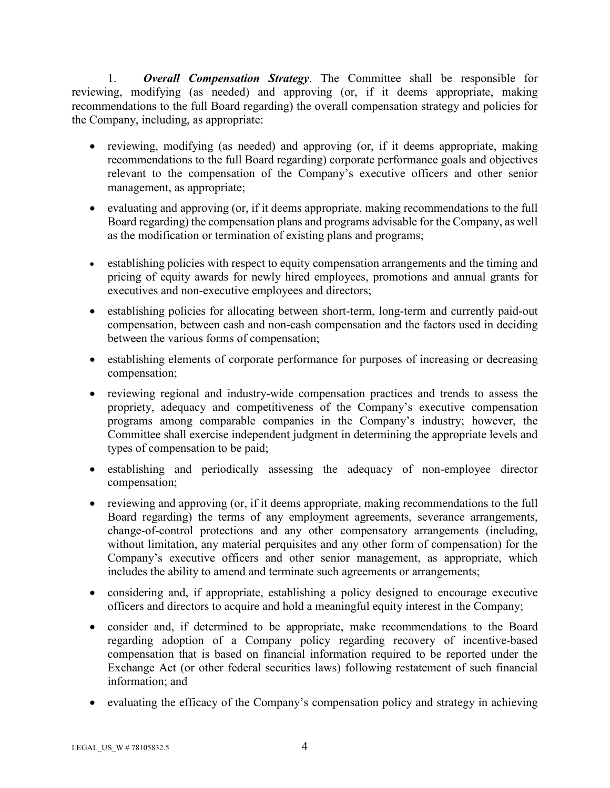1. *Overall Compensation Strategy*. The Committee shall be responsible for reviewing, modifying (as needed) and approving (or, if it deems appropriate, making recommendations to the full Board regarding) the overall compensation strategy and policies for the Company, including, as appropriate:

- reviewing, modifying (as needed) and approving (or, if it deems appropriate, making recommendations to the full Board regarding) corporate performance goals and objectives relevant to the compensation of the Company's executive officers and other senior management, as appropriate;
- evaluating and approving (or, if it deems appropriate, making recommendations to the full Board regarding) the compensation plans and programs advisable for the Company, as well as the modification or termination of existing plans and programs;
- establishing policies with respect to equity compensation arrangements and the timing and pricing of equity awards for newly hired employees, promotions and annual grants for executives and non-executive employees and directors;
- establishing policies for allocating between short-term, long-term and currently paid-out compensation, between cash and non-cash compensation and the factors used in deciding between the various forms of compensation;
- establishing elements of corporate performance for purposes of increasing or decreasing compensation;
- reviewing regional and industry-wide compensation practices and trends to assess the propriety, adequacy and competitiveness of the Company's executive compensation programs among comparable companies in the Company's industry; however, the Committee shall exercise independent judgment in determining the appropriate levels and types of compensation to be paid;
- establishing and periodically assessing the adequacy of non-employee director compensation;
- $\bullet$  reviewing and approving (or, if it deems appropriate, making recommendations to the full Board regarding) the terms of any employment agreements, severance arrangements, change-of-control protections and any other compensatory arrangements (including, without limitation, any material perquisites and any other form of compensation) for the Company's executive officers and other senior management, as appropriate, which includes the ability to amend and terminate such agreements or arrangements;
- considering and, if appropriate, establishing a policy designed to encourage executive officers and directors to acquire and hold a meaningful equity interest in the Company;
- consider and, if determined to be appropriate, make recommendations to the Board regarding adoption of a Company policy regarding recovery of incentive-based compensation that is based on financial information required to be reported under the Exchange Act (or other federal securities laws) following restatement of such financial information; and
- $\bullet$  evaluating the efficacy of the Company's compensation policy and strategy in achieving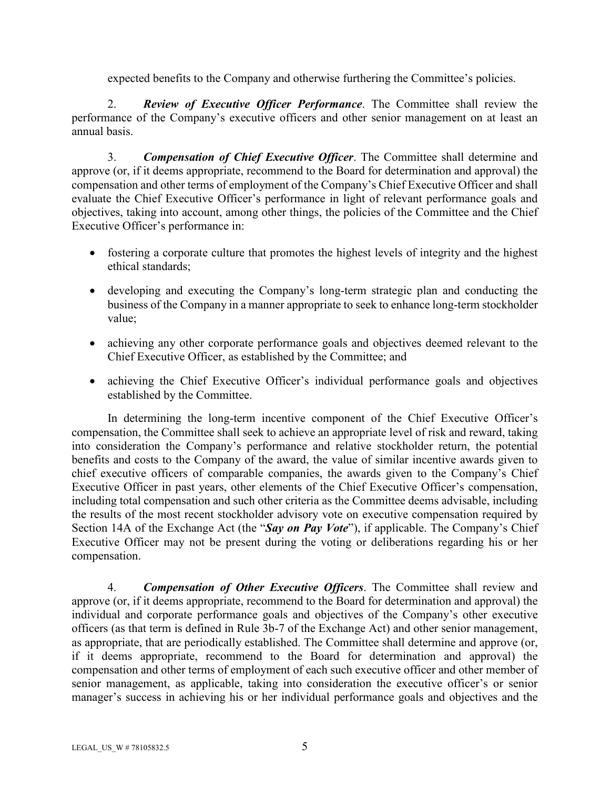expected benefits to the Company and otherwise furthering the Committee's policies.

2. *Review of Executive Officer Performance*. The Committee shall review the performance of the Company's executive officers and other senior management on at least an annual basis.

3. *Compensation of Chief Executive Officer*. The Committee shall determine and approve (or, if it deems appropriate, recommend to the Board for determination and approval) the compensation and other terms of employment of the Company's Chief Executive Officer and shall evaluate the Chief Executive Officer's performance in light of relevant performance goals and objectives, taking into account, among other things, the policies of the Committee and the Chief Executive Officer's performance in:

- fostering a corporate culture that promotes the highest levels of integrity and the highest ethical standards;
- developing and executing the Company's long-term strategic plan and conducting the business of the Company in a manner appropriate to seek to enhance long-term stockholder value;
- achieving any other corporate performance goals and objectives deemed relevant to the Chief Executive Officer, as established by the Committee; and
- achieving the Chief Executive Officer's individual performance goals and objectives established by the Committee.

In determining the long-term incentive component of the Chief Executive Officer's compensation, the Committee shall seek to achieve an appropriate level of risk and reward, taking into consideration the Company's performance and relative stockholder return, the potential benefits and costs to the Company of the award, the value of similar incentive awards given to chief executive officers of comparable companies, the awards given to the Company's Chief Executive Officer in past years, other elements of the Chief Executive Officer's compensation, including total compensation and such other criteria as the Committee deems advisable, including the results of the most recent stockholder advisory vote on executive compensation required by Section 14A of the Exchange Act (the "*Say on Pay Vote*"), if applicable. The Company's Chief Executive Officer may not be present during the voting or deliberations regarding his or her compensation.

4. *Compensation of Other Executive Officers*. The Committee shall review and approve (or, if it deems appropriate, recommend to the Board for determination and approval) the individual and corporate performance goals and objectives of the Company's other executive officers (as that term is defined in Rule 3b-7 of the Exchange Act) and other senior management, as appropriate, that are periodically established. The Committee shall determine and approve (or, if it deems appropriate, recommend to the Board for determination and approval) the compensation and other terms of employment of each such executive officer and other member of senior management, as applicable, taking into consideration the executive officer's or senior manager's success in achieving his or her individual performance goals and objectives and the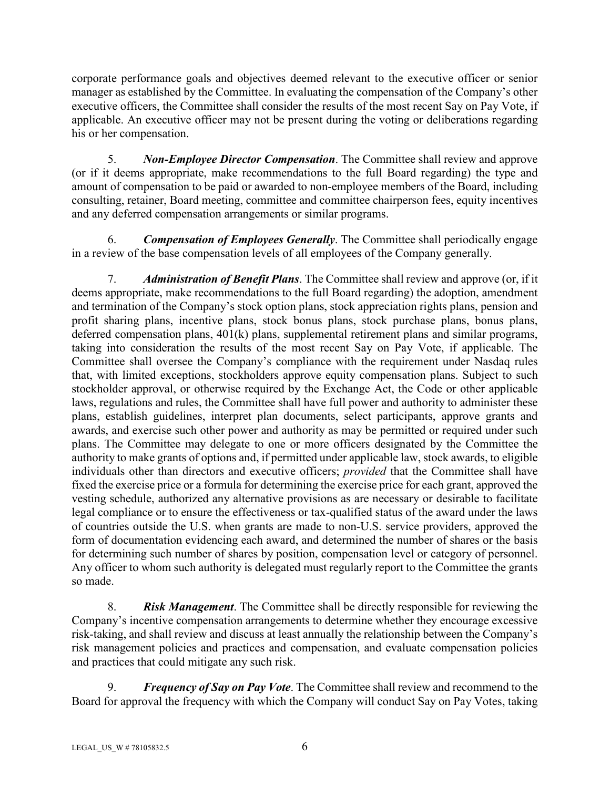corporate performance goals and objectives deemed relevant to the executive officer or senior manager as established by the Committee. In evaluating the compensation of the Company's other executive officers, the Committee shall consider the results of the most recent Say on Pay Vote, if applicable. An executive officer may not be present during the voting or deliberations regarding his or her compensation.

5. *Non-Employee Director Compensation*. The Committee shall review and approve (or if it deems appropriate, make recommendations to the full Board regarding) the type and amount of compensation to be paid or awarded to non-employee members of the Board, including consulting, retainer, Board meeting, committee and committee chairperson fees, equity incentives and any deferred compensation arrangements or similar programs.

6. *Compensation of Employees Generally*. The Committee shall periodically engage in a review of the base compensation levels of all employees of the Company generally.

7. *Administration of Benefit Plans*. The Committee shall review and approve (or, if it deems appropriate, make recommendations to the full Board regarding) the adoption, amendment and termination of the Company's stock option plans, stock appreciation rights plans, pension and profit sharing plans, incentive plans, stock bonus plans, stock purchase plans, bonus plans, deferred compensation plans,  $401(k)$  plans, supplemental retirement plans and similar programs, taking into consideration the results of the most recent Say on Pay Vote, if applicable. The Committee shall oversee the Company's compliance with the requirement under Nasdaq rules that, with limited exceptions, stockholders approve equity compensation plans. Subject to such stockholder approval, or otherwise required by the Exchange Act, the Code or other applicable laws, regulations and rules, the Committee shall have full power and authority to administer these plans, establish guidelines, interpret plan documents, select participants, approve grants and awards, and exercise such other power and authority as may be permitted or required under such plans. The Committee may delegate to one or more officers designated by the Committee the authority to make grants of options and, if permitted under applicable law, stock awards, to eligible individuals other than directors and executive officers; *provided* that the Committee shall have fixed the exercise price or a formula for determining the exercise price for each grant, approved the vesting schedule, authorized any alternative provisions as are necessary or desirable to facilitate legal compliance or to ensure the effectiveness or tax-qualified status of the award under the laws of countries outside the U.S. when grants are made to non-U.S. service providers, approved the form of documentation evidencing each award, and determined the number of shares or the basis for determining such number of shares by position, compensation level or category of personnel. Any officer to whom such authority is delegated must regularly report to the Committee the grants so made.

8. *Risk Management*. The Committee shall be directly responsible for reviewing the Company's incentive compensation arrangements to determine whether they encourage excessive risk-taking, and shall review and discuss at least annually the relationship between the Company's risk management policies and practices and compensation, and evaluate compensation policies and practices that could mitigate any such risk.

9. *Frequency of Say on Pay Vote*. The Committee shall review and recommend to the Board for approval the frequency with which the Company will conduct Say on Pay Votes, taking